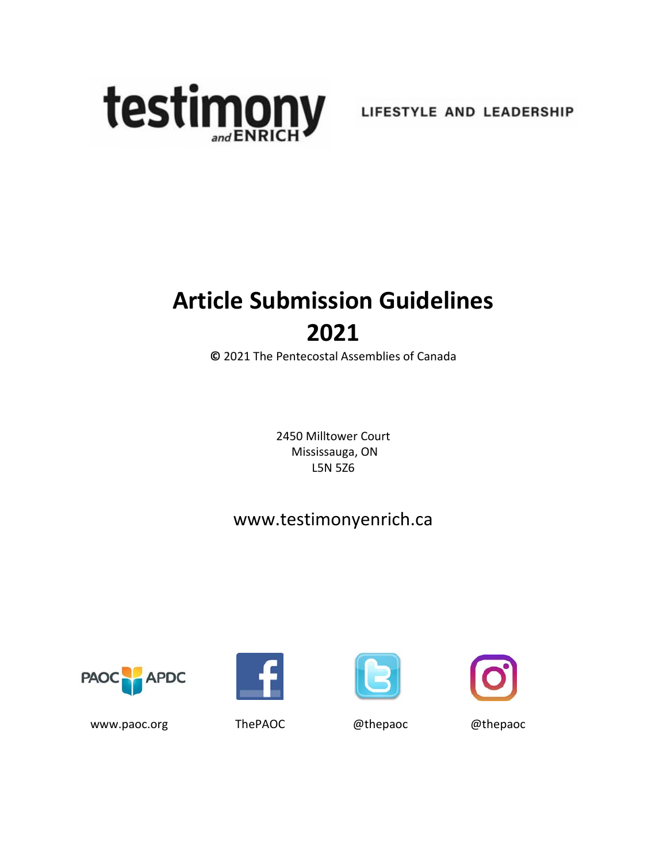

# **Article Submission Guidelines 2021**

**©** 2021 The Pentecostal Assemblies of Canada

2450 Milltower Court Mississauga, ON L5N 5Z6

## [www.testimonyenrich.ca](http://www.testimonyenrich.ca/)









[www.paoc.org](http://www.paoc.org/) ThePAOC @thepaoc @thepaoc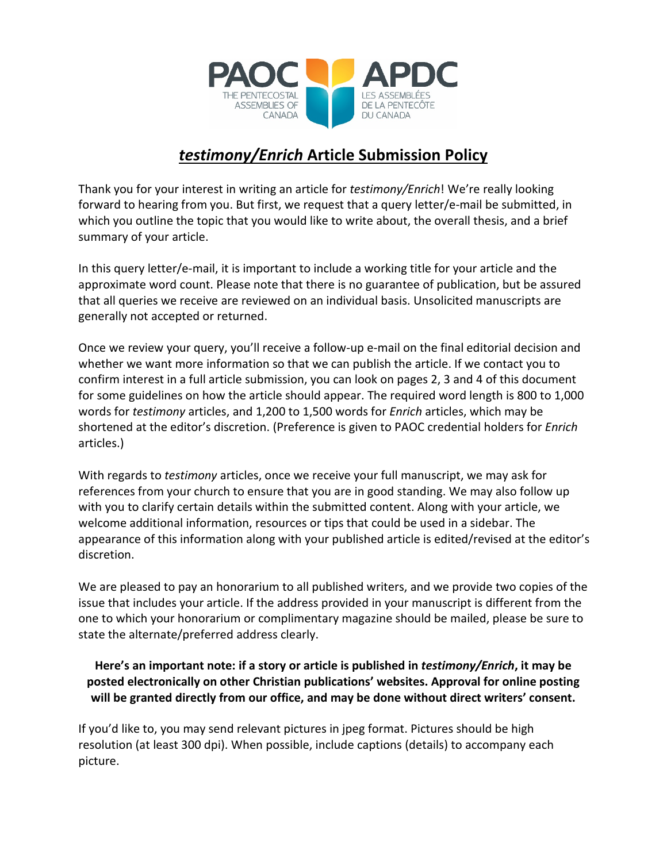

### *testimony/Enrich* **Article Submission Policy**

Thank you for your interest in writing an article for *testimony/Enrich*! We're really looking forward to hearing from you. But first, we request that a query letter/e-mail be submitted, in which you outline the topic that you would like to write about, the overall thesis, and a brief summary of your article.

In this query letter/e-mail, it is important to include a working title for your article and the approximate word count. Please note that there is no guarantee of publication, but be assured that all queries we receive are reviewed on an individual basis. Unsolicited manuscripts are generally not accepted or returned.

Once we review your query, you'll receive a follow-up e-mail on the final editorial decision and whether we want more information so that we can publish the article. If we contact you to confirm interest in a full article submission, you can look on pages 2, 3 and 4 of this document for some guidelines on how the article should appear. The required word length is 800 to 1,000 words for *testimony* articles, and 1,200 to 1,500 words for *Enrich* articles, which may be shortened at the editor's discretion. (Preference is given to PAOC credential holders for *Enrich*  articles.)

With regards to *testimony* articles, once we receive your full manuscript, we may ask for references from your church to ensure that you are in good standing. We may also follow up with you to clarify certain details within the submitted content. Along with your article, we welcome additional information, resources or tips that could be used in a sidebar. The appearance of this information along with your published article is edited/revised at the editor's discretion.

We are pleased to pay an honorarium to all published writers, and we provide two copies of the issue that includes your article. If the address provided in your manuscript is different from the one to which your honorarium or complimentary magazine should be mailed, please be sure to state the alternate/preferred address clearly.

### **Here's an important note: if a story or article is published in** *testimony/Enrich***, it may be posted electronically on other Christian publications' websites. Approval for online posting will be granted directly from our office, and may be done without direct writers' consent.**

If you'd like to, you may send relevant pictures in jpeg format. Pictures should be high resolution (at least 300 dpi). When possible, include captions (details) to accompany each picture.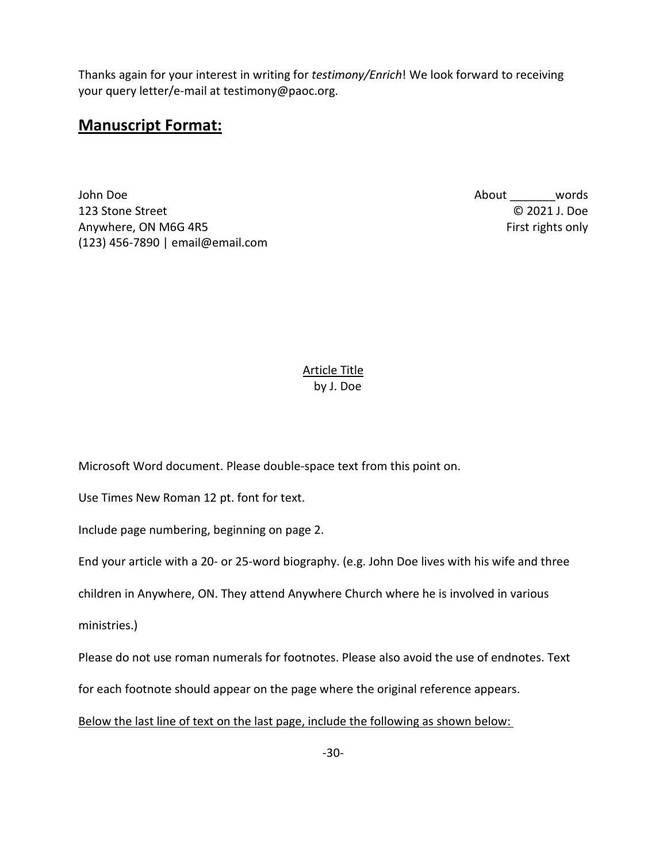Thanks again for your interest in writing for *testimony/Enrich*! We look forward to receiving your query letter/e-mail at [testimony@paoc.org.](mailto:testimony@paoc.org)

### **Manuscript Format:**

John Doe 123 Stone Street Anywhere, ON M6G 4R5 (123) 456-7890 | email@email.com About \_\_\_\_\_\_\_words © 2021 J. Doe First rights only

#### Article Title by J. Doe

Microsoft Word document. Please double-space text from this point on.

Use Times New Roman 12 pt. font for text.

Include page numbering, beginning on page 2.

End your article with a 20- or 25-word biography. (e.g. John Doe lives with his wife and three

children in Anywhere, ON. They attend Anywhere Church where he is involved in various

ministries.)

Please do not use roman numerals for footnotes. Please also avoid the use of endnotes. Text

for each footnote should appear on the page where the original reference appears.

#### Below the last line of text on the last page, include the following as shown below: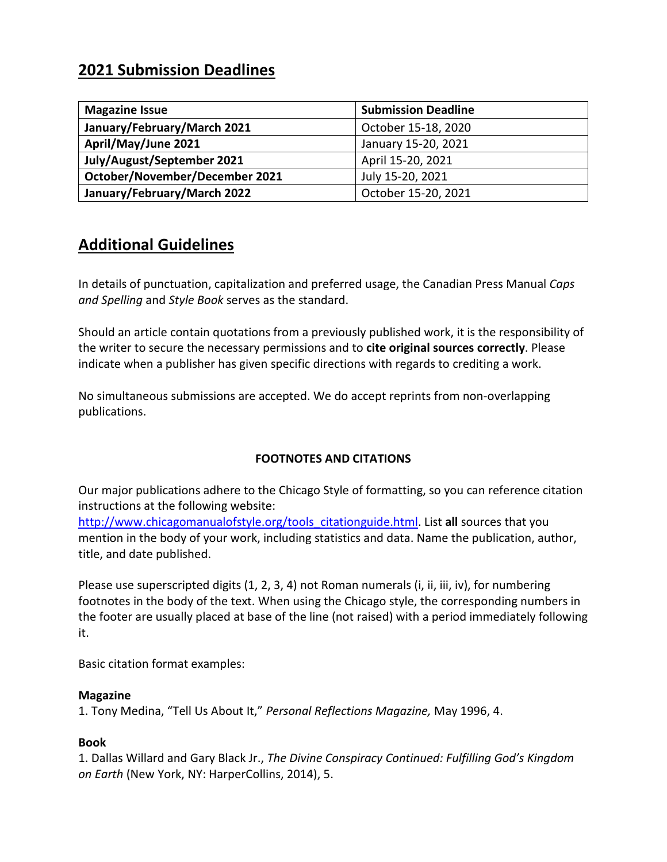### **2021 Submission Deadlines**

| <b>Magazine Issue</b>          | <b>Submission Deadline</b> |
|--------------------------------|----------------------------|
| January/February/March 2021    | October 15-18, 2020        |
| April/May/June 2021            | January 15-20, 2021        |
| July/August/September 2021     | April 15-20, 2021          |
| October/November/December 2021 | July 15-20, 2021           |
| January/February/March 2022    | October 15-20, 2021        |

### **Additional Guidelines**

In details of punctuation, capitalization and preferred usage, the Canadian Press Manual *Caps and Spelling* and *Style Book* serves as the standard.

Should an article contain quotations from a previously published work, it is the responsibility of the writer to secure the necessary permissions and to **cite original sources correctly**. Please indicate when a publisher has given specific directions with regards to crediting a work.

No simultaneous submissions are accepted. We do accept reprints from non-overlapping publications.

### **FOOTNOTES AND CITATIONS**

Our major publications adhere to the Chicago Style of formatting, so you can reference citation instructions at the following website:

[http://www.chicagomanualofstyle.org/tools\\_citationguide.html.](http://www.chicagomanualofstyle.org/tools_citationguide.html) List **all** sources that you mention in the body of your work, including statistics and data. Name the publication, author, title, and date published.

Please use superscripted digits (1, 2, 3, 4) not Roman numerals (i, ii, iii, iv), for numbering footnotes in the body of the text. When using the Chicago style, the corresponding numbers in the footer are usually placed at base of the line (not raised) with a period immediately following it.

Basic citation format examples:

#### **Magazine**

1. Tony Medina, "Tell Us About It," *Personal Reflections Magazine,* May 1996, 4.

#### **Book**

1. Dallas Willard and Gary Black Jr., *The Divine Conspiracy Continued: Fulfilling God's Kingdom on Earth* (New York, NY: HarperCollins, 2014), 5.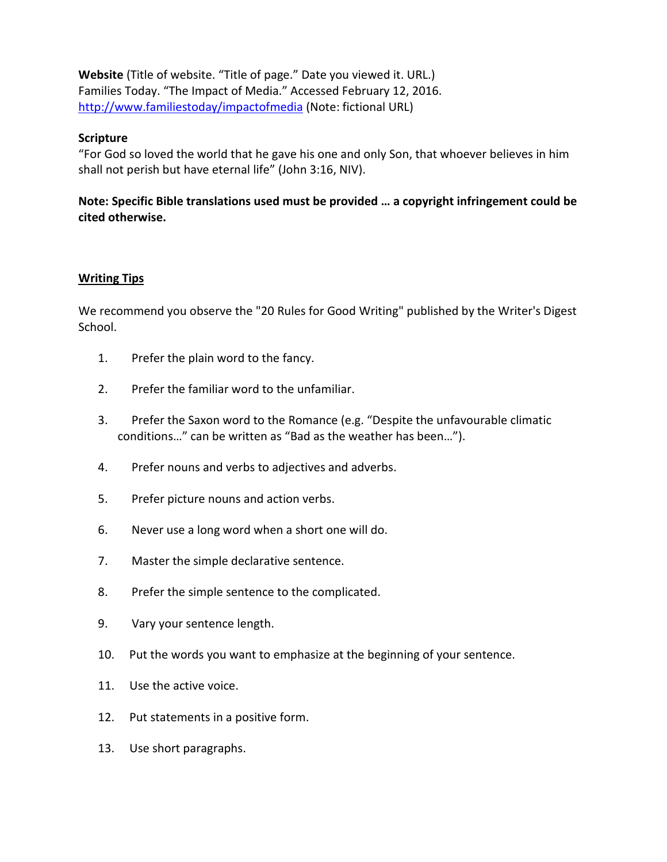**Website** (Title of website. "Title of page." Date you viewed it. URL.) Families Today. "The Impact of Media." Accessed February 12, 2016. <http://www.familiestoday/impactofmedia> (Note: fictional URL)

### **Scripture**

"For God so loved the world that he gave his one and only Son, that whoever believes in him shall not perish but have eternal life" (John 3:16, NIV).

### **Note: Specific Bible translations used must be provided … a copyright infringement could be cited otherwise.**

### **Writing Tips**

We recommend you observe the "20 Rules for Good Writing" published by the Writer's Digest School.

- 1. Prefer the plain word to the fancy.
- 2. Prefer the familiar word to the unfamiliar.
- 3. Prefer the Saxon word to the Romance (e.g. "Despite the unfavourable climatic conditions…" can be written as "Bad as the weather has been…").
- 4. Prefer nouns and verbs to adjectives and adverbs.
- 5. Prefer picture nouns and action verbs.
- 6. Never use a long word when a short one will do.
- 7. Master the simple declarative sentence.
- 8. Prefer the simple sentence to the complicated.
- 9. Vary your sentence length.
- 10. Put the words you want to emphasize at the beginning of your sentence.
- 11. Use the active voice.
- 12. Put statements in a positive form.
- 13. Use short paragraphs.